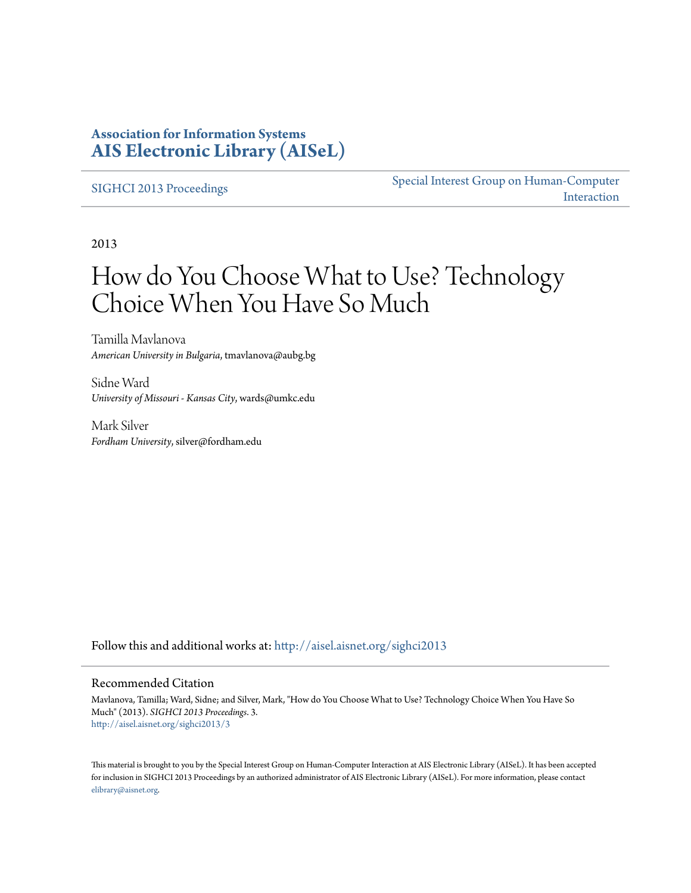### **Association for Information Systems [AIS Electronic Library \(AISeL\)](http://aisel.aisnet.org?utm_source=aisel.aisnet.org%2Fsighci2013%2F3&utm_medium=PDF&utm_campaign=PDFCoverPages)**

[SIGHCI 2013 Proceedings](http://aisel.aisnet.org/sighci2013?utm_source=aisel.aisnet.org%2Fsighci2013%2F3&utm_medium=PDF&utm_campaign=PDFCoverPages)

[Special Interest Group on Human-Computer](http://aisel.aisnet.org/sighci?utm_source=aisel.aisnet.org%2Fsighci2013%2F3&utm_medium=PDF&utm_campaign=PDFCoverPages) [Interaction](http://aisel.aisnet.org/sighci?utm_source=aisel.aisnet.org%2Fsighci2013%2F3&utm_medium=PDF&utm_campaign=PDFCoverPages)

2013

# How do You Choose What to Use? Technology Choice When You Have So Much

Tamilla Mavlanova *American University in Bulgaria*, tmavlanova@aubg.bg

Sidne Ward *University of Missouri - Kansas City*, wards@umkc.edu

Mark Silver *Fordham University*, silver@fordham.edu

Follow this and additional works at: [http://aisel.aisnet.org/sighci2013](http://aisel.aisnet.org/sighci2013?utm_source=aisel.aisnet.org%2Fsighci2013%2F3&utm_medium=PDF&utm_campaign=PDFCoverPages)

#### Recommended Citation

Mavlanova, Tamilla; Ward, Sidne; and Silver, Mark, "How do You Choose What to Use? Technology Choice When You Have So Much" (2013). *SIGHCI 2013 Proceedings*. 3. [http://aisel.aisnet.org/sighci2013/3](http://aisel.aisnet.org/sighci2013/3?utm_source=aisel.aisnet.org%2Fsighci2013%2F3&utm_medium=PDF&utm_campaign=PDFCoverPages)

This material is brought to you by the Special Interest Group on Human-Computer Interaction at AIS Electronic Library (AISeL). It has been accepted for inclusion in SIGHCI 2013 Proceedings by an authorized administrator of AIS Electronic Library (AISeL). For more information, please contact [elibrary@aisnet.org.](mailto:elibrary@aisnet.org%3E)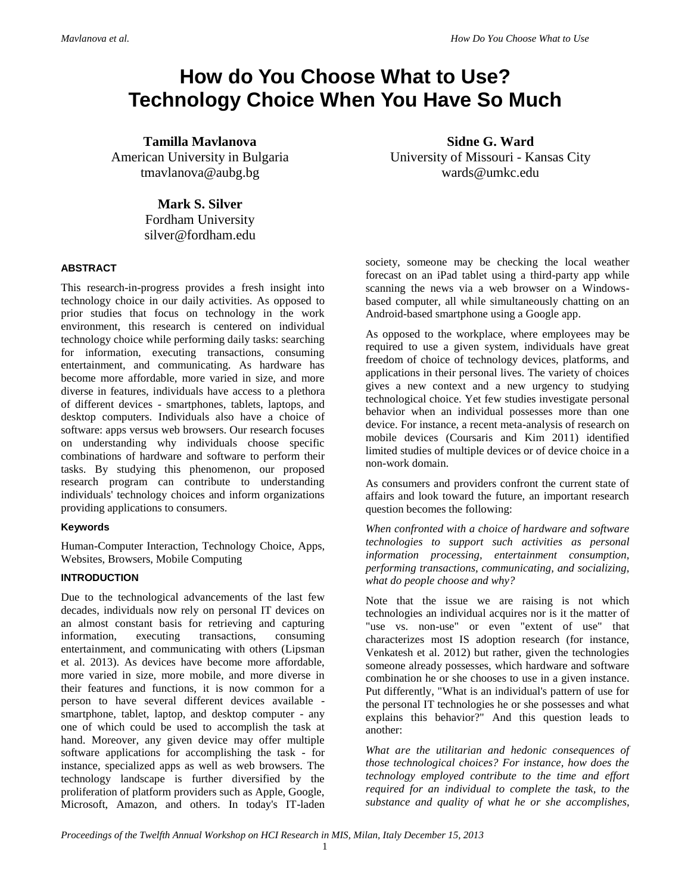## **How do You Choose What to Use? Technology Choice When You Have So Much**

**Tamilla Mavlanova** American University in Bulgaria tmavlanova@aubg.bg

> **Mark S. Silver** Fordham University silver@fordham.edu

#### **ABSTRACT**

This research-in-progress provides a fresh insight into technology choice in our daily activities. As opposed to prior studies that focus on technology in the work environment, this research is centered on individual technology choice while performing daily tasks: searching for information, executing transactions, consuming entertainment, and communicating. As hardware has become more affordable, more varied in size, and more diverse in features, individuals have access to a plethora of different devices - smartphones, tablets, laptops, and desktop computers. Individuals also have a choice of software: apps versus web browsers. Our research focuses on understanding why individuals choose specific combinations of hardware and software to perform their tasks. By studying this phenomenon, our proposed research program can contribute to understanding individuals' technology choices and inform organizations providing applications to consumers.

#### **Keywords**

Human-Computer Interaction, Technology Choice, Apps, Websites, Browsers, Mobile Computing

#### **INTRODUCTION**

Due to the technological advancements of the last few decades, individuals now rely on personal IT devices on an almost constant basis for retrieving and capturing information, executing transactions, consuming entertainment, and communicating with others (Lipsman et al. 2013). As devices have become more affordable, more varied in size, more mobile, and more diverse in their features and functions, it is now common for a person to have several different devices available smartphone, tablet, laptop, and desktop computer - any one of which could be used to accomplish the task at hand. Moreover, any given device may offer multiple software applications for accomplishing the task - for instance, specialized apps as well as web browsers. The technology landscape is further diversified by the proliferation of platform providers such as Apple, Google, Microsoft, Amazon, and others. In today's IT-laden

**Sidne G. Ward** University of Missouri - Kansas City wards@umkc.edu

society, someone may be checking the local weather forecast on an iPad tablet using a third-party app while scanning the news via a web browser on a Windowsbased computer, all while simultaneously chatting on an Android-based smartphone using a Google app.

As opposed to the workplace, where employees may be required to use a given system, individuals have great freedom of choice of technology devices, platforms, and applications in their personal lives. The variety of choices gives a new context and a new urgency to studying technological choice. Yet few studies investigate personal behavior when an individual possesses more than one device. For instance, a recent meta-analysis of research on mobile devices (Coursaris and Kim 2011) identified limited studies of multiple devices or of device choice in a non-work domain.

As consumers and providers confront the current state of affairs and look toward the future, an important research question becomes the following:

*When confronted with a choice of hardware and software technologies to support such activities as personal information processing, entertainment consumption, performing transactions, communicating, and socializing, what do people choose and why?*

Note that the issue we are raising is not which technologies an individual acquires nor is it the matter of "use vs. non-use" or even "extent of use" that characterizes most IS adoption research (for instance, Venkatesh et al. 2012) but rather, given the technologies someone already possesses, which hardware and software combination he or she chooses to use in a given instance. Put differently, "What is an individual's pattern of use for the personal IT technologies he or she possesses and what explains this behavior?" And this question leads to another:

*What are the utilitarian and hedonic consequences of those technological choices? For instance, how does the technology employed contribute to the time and effort required for an individual to complete the task, to the substance and quality of what he or she accomplishes,*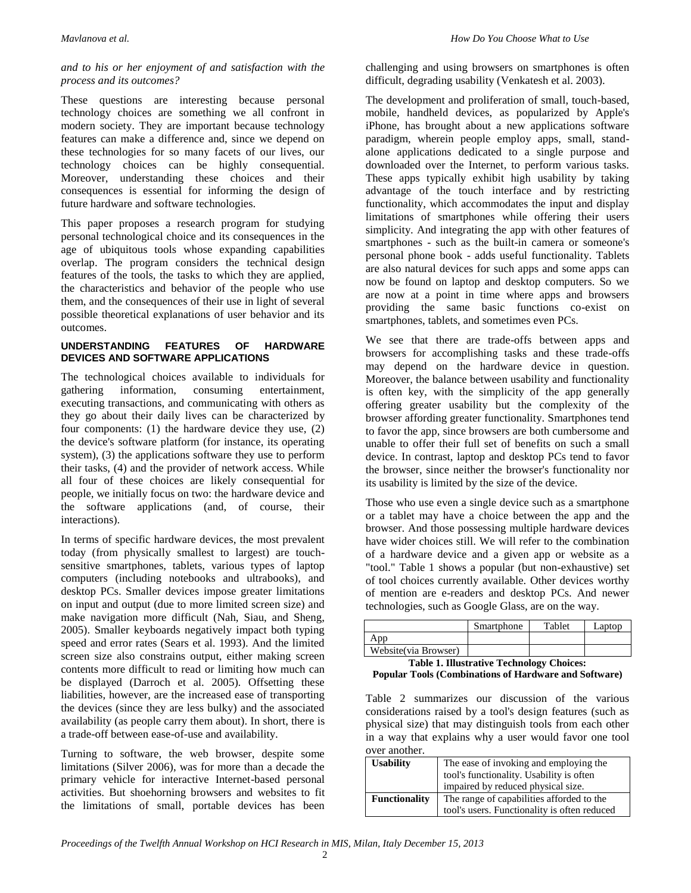#### *and to his or her enjoyment of and satisfaction with the process and its outcomes?*

These questions are interesting because personal technology choices are something we all confront in modern society. They are important because technology features can make a difference and, since we depend on these technologies for so many facets of our lives, our technology choices can be highly consequential. Moreover, understanding these choices and their consequences is essential for informing the design of future hardware and software technologies.

This paper proposes a research program for studying personal technological choice and its consequences in the age of ubiquitous tools whose expanding capabilities overlap. The program considers the technical design features of the tools, the tasks to which they are applied, the characteristics and behavior of the people who use them, and the consequences of their use in light of several possible theoretical explanations of user behavior and its outcomes.

#### **UNDERSTANDING FEATURES OF HARDWARE DEVICES AND SOFTWARE APPLICATIONS**

The technological choices available to individuals for gathering information, consuming entertainment, executing transactions, and communicating with others as they go about their daily lives can be characterized by four components: (1) the hardware device they use, (2) the device's software platform (for instance, its operating system), (3) the applications software they use to perform their tasks, (4) and the provider of network access. While all four of these choices are likely consequential for people, we initially focus on two: the hardware device and the software applications (and, of course, their interactions).

In terms of specific hardware devices, the most prevalent today (from physically smallest to largest) are touchsensitive smartphones, tablets, various types of laptop computers (including notebooks and ultrabooks), and desktop PCs. Smaller devices impose greater limitations on input and output (due to more limited screen size) and make navigation more difficult (Nah, Siau, and Sheng, 2005). Smaller keyboards negatively impact both typing speed and error rates (Sears et al. 1993). And the limited screen size also constrains output, either making screen contents more difficult to read or limiting how much can be displayed (Darroch et al. 2005). Offsetting these liabilities, however, are the increased ease of transporting the devices (since they are less bulky) and the associated availability (as people carry them about). In short, there is a trade-off between ease-of-use and availability.

Turning to software, the web browser, despite some limitations (Silver 2006), was for more than a decade the primary vehicle for interactive Internet-based personal activities. But shoehorning browsers and websites to fit the limitations of small, portable devices has been challenging and using browsers on smartphones is often difficult, degrading usability (Venkatesh et al. 2003).

The development and proliferation of small, touch-based, mobile, handheld devices, as popularized by Apple's iPhone, has brought about a new applications software paradigm, wherein people employ apps, small, standalone applications dedicated to a single purpose and downloaded over the Internet, to perform various tasks. These apps typically exhibit high usability by taking advantage of the touch interface and by restricting functionality, which accommodates the input and display limitations of smartphones while offering their users simplicity. And integrating the app with other features of smartphones - such as the built-in camera or someone's personal phone book - adds useful functionality. Tablets are also natural devices for such apps and some apps can now be found on laptop and desktop computers. So we are now at a point in time where apps and browsers providing the same basic functions co-exist on smartphones, tablets, and sometimes even PCs.

We see that there are trade-offs between apps and browsers for accomplishing tasks and these trade-offs may depend on the hardware device in question. Moreover, the balance between usability and functionality is often key, with the simplicity of the app generally offering greater usability but the complexity of the browser affording greater functionality. Smartphones tend to favor the app, since browsers are both cumbersome and unable to offer their full set of benefits on such a small device. In contrast, laptop and desktop PCs tend to favor the browser, since neither the browser's functionality nor its usability is limited by the size of the device.

Those who use even a single device such as a smartphone or a tablet may have a choice between the app and the browser. And those possessing multiple hardware devices have wider choices still. We will refer to the combination of a hardware device and a given app or website as a "tool." Table 1 shows a popular (but non-exhaustive) set of tool choices currently available. Other devices worthy of mention are e-readers and desktop PCs. And newer technologies, such as Google Glass, are on the way.

|                       | Smartphone | Tablet | Laptop |
|-----------------------|------------|--------|--------|
| App                   |            |        |        |
| Website (via Browser) |            |        |        |

**Table 1. Illustrative Technology Choices: Popular Tools (Combinations of Hardware and Software)**

Table 2 summarizes our discussion of the various considerations raised by a tool's design features (such as physical size) that may distinguish tools from each other in a way that explains why a user would favor one tool over another.

| <b>Usability</b>     | The ease of invoking and employing the<br>tool's functionality. Usability is often |
|----------------------|------------------------------------------------------------------------------------|
|                      | impaired by reduced physical size.                                                 |
| <b>Functionality</b> | The range of capabilities afforded to the                                          |
|                      | tool's users. Functionality is often reduced                                       |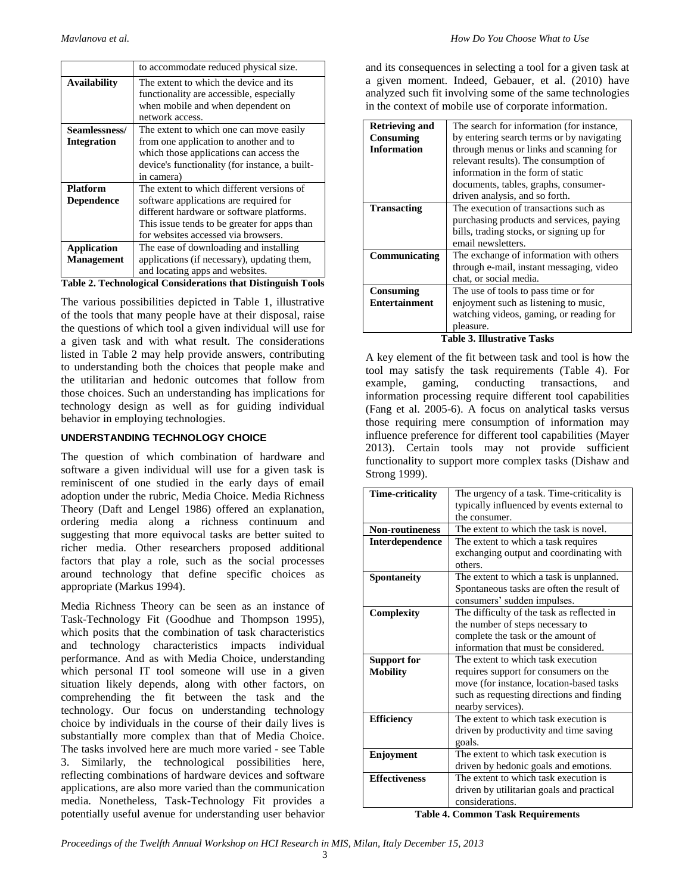| to accommodate reduced physical size.                                                                                                                                                                                                                                                                          |
|----------------------------------------------------------------------------------------------------------------------------------------------------------------------------------------------------------------------------------------------------------------------------------------------------------------|
| The extent to which the device and its                                                                                                                                                                                                                                                                         |
| functionality are accessible, especially                                                                                                                                                                                                                                                                       |
| when mobile and when dependent on                                                                                                                                                                                                                                                                              |
| network access.                                                                                                                                                                                                                                                                                                |
| The extent to which one can move easily                                                                                                                                                                                                                                                                        |
| from one application to another and to                                                                                                                                                                                                                                                                         |
| which those applications can access the                                                                                                                                                                                                                                                                        |
| device's functionality (for instance, a built-                                                                                                                                                                                                                                                                 |
| in camera)                                                                                                                                                                                                                                                                                                     |
| The extent to which different versions of                                                                                                                                                                                                                                                                      |
| software applications are required for                                                                                                                                                                                                                                                                         |
| different hardware or software platforms.                                                                                                                                                                                                                                                                      |
| This issue tends to be greater for apps than                                                                                                                                                                                                                                                                   |
| for websites accessed via browsers.                                                                                                                                                                                                                                                                            |
| The ease of downloading and installing                                                                                                                                                                                                                                                                         |
| applications (if necessary), updating them,                                                                                                                                                                                                                                                                    |
| and locating apps and websites.                                                                                                                                                                                                                                                                                |
| $\mathbf{m}$ , i.e., $\mathbf{a}$ , $\mathbf{m}$ , $\mathbf{a}$ , $\mathbf{a}$ , $\mathbf{a}$ , $\mathbf{a}$ , $\mathbf{a}$ , $\mathbf{a}$ , $\mathbf{a}$ , $\mathbf{a}$ , $\mathbf{a}$ , $\mathbf{a}$ , $\mathbf{a}$ , $\mathbf{a}$ , $\mathbf{a}$ , $\mathbf{a}$ , $\mathbf{a}$ , $\mathbf{a}$ , $\mathbf{a$ |

**Table 2. Technological Considerations that Distinguish Tools**

The various possibilities depicted in Table 1, illustrative of the tools that many people have at their disposal, raise the questions of which tool a given individual will use for a given task and with what result. The considerations listed in Table 2 may help provide answers, contributing to understanding both the choices that people make and the utilitarian and hedonic outcomes that follow from those choices. Such an understanding has implications for technology design as well as for guiding individual behavior in employing technologies.

#### **UNDERSTANDING TECHNOLOGY CHOICE**

The question of which combination of hardware and software a given individual will use for a given task is reminiscent of one studied in the early days of email adoption under the rubric, Media Choice. Media Richness Theory (Daft and Lengel 1986) offered an explanation, ordering media along a richness continuum and suggesting that more equivocal tasks are better suited to richer media. Other researchers proposed additional factors that play a role, such as the social processes around technology that define specific choices as appropriate (Markus 1994).

Media Richness Theory can be seen as an instance of Task-Technology Fit (Goodhue and Thompson 1995), which posits that the combination of task characteristics and technology characteristics impacts individual performance. And as with Media Choice, understanding which personal IT tool someone will use in a given situation likely depends, along with other factors, on comprehending the fit between the task and the technology. Our focus on understanding technology choice by individuals in the course of their daily lives is substantially more complex than that of Media Choice. The tasks involved here are much more varied - see Table 3. Similarly, the technological possibilities here, reflecting combinations of hardware devices and software applications, are also more varied than the communication media. Nonetheless, Task-Technology Fit provides a potentially useful avenue for understanding user behavior

and its consequences in selecting a tool for a given task at a given moment. Indeed, Gebauer, et al. (2010) have analyzed such fit involving some of the same technologies in the context of mobile use of corporate information.

| <b>Retrieving and</b> | The search for information (for instance, |  |
|-----------------------|-------------------------------------------|--|
| Consuming             | by entering search terms or by navigating |  |
| <b>Information</b>    | through menus or links and scanning for   |  |
|                       | relevant results). The consumption of     |  |
|                       | information in the form of static         |  |
|                       | documents, tables, graphs, consumer-      |  |
|                       | driven analysis, and so forth.            |  |
| <b>Transacting</b>    | The execution of transactions such as     |  |
|                       | purchasing products and services, paying  |  |
|                       | bills, trading stocks, or signing up for  |  |
|                       | email newsletters.                        |  |
| Communicating         | The exchange of information with others   |  |
|                       | through e-mail, instant messaging, video  |  |
|                       | chat, or social media.                    |  |
| Consuming             | The use of tools to pass time or for      |  |
| Entertainment         | enjoyment such as listening to music,     |  |
|                       | watching videos, gaming, or reading for   |  |
|                       | pleasure.                                 |  |

**Table 3. Illustrative Tasks**

A key element of the fit between task and tool is how the tool may satisfy the task requirements (Table 4). For example, gaming, conducting transactions, and information processing require different tool capabilities (Fang et al. 2005-6). A focus on analytical tasks versus those requiring mere consumption of information may influence preference for different tool capabilities (Mayer 2013). Certain tools may not provide sufficient functionality to support more complex tasks (Dishaw and Strong 1999).

| Time-criticality       | The urgency of a task. Time-criticality is |  |
|------------------------|--------------------------------------------|--|
|                        | typically influenced by events external to |  |
|                        | the consumer.                              |  |
| <b>Non-routineness</b> | The extent to which the task is novel.     |  |
| Interdependence        | The extent to which a task requires        |  |
|                        | exchanging output and coordinating with    |  |
|                        | others.                                    |  |
| <b>Spontaneity</b>     | The extent to which a task is unplanned.   |  |
|                        | Spontaneous tasks are often the result of  |  |
|                        | consumers' sudden impulses.                |  |
| Complexity             | The difficulty of the task as reflected in |  |
|                        | the number of steps necessary to           |  |
|                        | complete the task or the amount of         |  |
|                        | information that must be considered.       |  |
| <b>Support for</b>     | The extent to which task execution         |  |
| <b>Mobility</b>        | requires support for consumers on the      |  |
|                        | move (for instance, location-based tasks)  |  |
|                        | such as requesting directions and finding  |  |
|                        | nearby services).                          |  |
| <b>Efficiency</b>      | The extent to which task execution is      |  |
|                        | driven by productivity and time saving     |  |
|                        | goals.                                     |  |
| Enjoyment              | The extent to which task execution is      |  |
|                        | driven by hedonic goals and emotions.      |  |
| <b>Effectiveness</b>   | The extent to which task execution is      |  |
|                        | driven by utilitarian goals and practical  |  |
|                        | considerations.                            |  |
|                        |                                            |  |

**Table 4. Common Task Requirements**

*Proceedings of the Twelfth Annual Workshop on HCI Research in MIS, Milan, Italy December 15, 2013*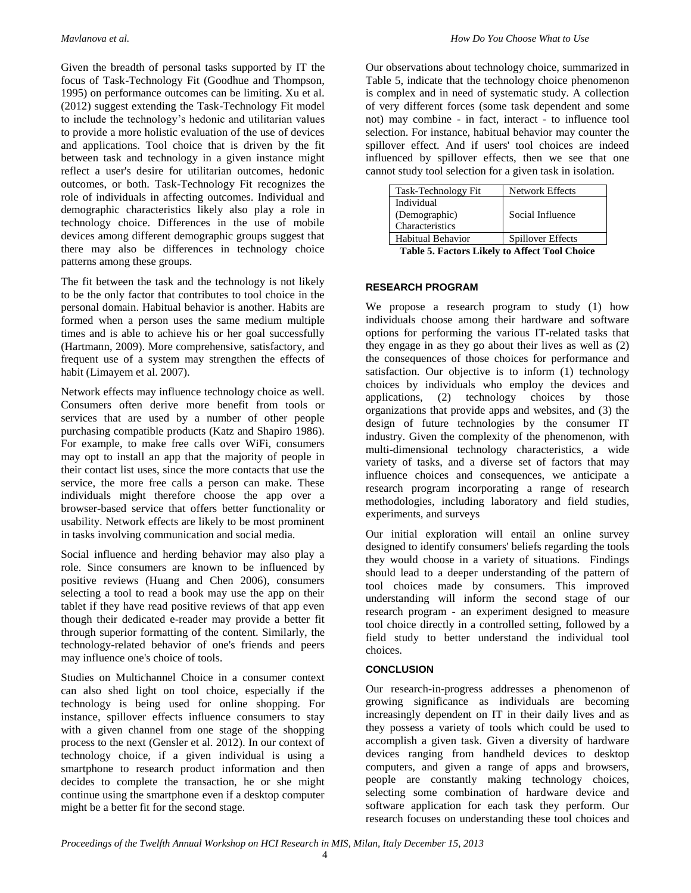Given the breadth of personal tasks supported by IT the focus of Task-Technology Fit (Goodhue and Thompson, 1995) on performance outcomes can be limiting. Xu et al. (2012) suggest extending the Task-Technology Fit model to include the technology's hedonic and utilitarian values to provide a more holistic evaluation of the use of devices and applications. Tool choice that is driven by the fit between task and technology in a given instance might reflect a user's desire for utilitarian outcomes, hedonic outcomes, or both. Task-Technology Fit recognizes the role of individuals in affecting outcomes. Individual and demographic characteristics likely also play a role in technology choice. Differences in the use of mobile devices among different demographic groups suggest that there may also be differences in technology choice patterns among these groups.

The fit between the task and the technology is not likely to be the only factor that contributes to tool choice in the personal domain. Habitual behavior is another. Habits are formed when a person uses the same medium multiple times and is able to achieve his or her goal successfully (Hartmann, 2009). More comprehensive, satisfactory, and frequent use of a system may strengthen the effects of habit (Limayem et al. 2007).

Network effects may influence technology choice as well. Consumers often derive more benefit from tools or services that are used by a number of other people purchasing compatible products (Katz and Shapiro 1986). For example, to make free calls over WiFi, consumers may opt to install an app that the majority of people in their contact list uses, since the more contacts that use the service, the more free calls a person can make. These individuals might therefore choose the app over a browser-based service that offers better functionality or usability. Network effects are likely to be most prominent in tasks involving communication and social media.

Social influence and herding behavior may also play a role. Since consumers are known to be influenced by positive reviews (Huang and Chen 2006), consumers selecting a tool to read a book may use the app on their tablet if they have read positive reviews of that app even though their dedicated e-reader may provide a better fit through superior formatting of the content. Similarly, the technology-related behavior of one's friends and peers may influence one's choice of tools.

Studies on Multichannel Choice in a consumer context can also shed light on tool choice, especially if the technology is being used for online shopping. For instance, spillover effects influence consumers to stay with a given channel from one stage of the shopping process to the next (Gensler et al. 2012). In our context of technology choice, if a given individual is using a smartphone to research product information and then decides to complete the transaction, he or she might continue using the smartphone even if a desktop computer might be a better fit for the second stage.

Our observations about technology choice, summarized in Table 5, indicate that the technology choice phenomenon is complex and in need of systematic study. A collection of very different forces (some task dependent and some not) may combine - in fact, interact - to influence tool selection. For instance, habitual behavior may counter the spillover effect. And if users' tool choices are indeed influenced by spillover effects, then we see that one cannot study tool selection for a given task in isolation.

| Task-Technology Fit         | Network Effects   |
|-----------------------------|-------------------|
| Individual<br>(Demographic) | Social Influence  |
| Characteristics             |                   |
| Habitual Behavior           | Spillover Effects |

**Table 5. Factors Likely to Affect Tool Choice**

#### **RESEARCH PROGRAM**

We propose a research program to study (1) how individuals choose among their hardware and software options for performing the various IT-related tasks that they engage in as they go about their lives as well as (2) the consequences of those choices for performance and satisfaction. Our objective is to inform (1) technology choices by individuals who employ the devices and applications, (2) technology choices by those organizations that provide apps and websites, and (3) the design of future technologies by the consumer IT industry. Given the complexity of the phenomenon, with multi-dimensional technology characteristics, a wide variety of tasks, and a diverse set of factors that may influence choices and consequences, we anticipate a research program incorporating a range of research methodologies, including laboratory and field studies, experiments, and surveys

Our initial exploration will entail an online survey designed to identify consumers' beliefs regarding the tools they would choose in a variety of situations. Findings should lead to a deeper understanding of the pattern of tool choices made by consumers. This improved understanding will inform the second stage of our research program - an experiment designed to measure tool choice directly in a controlled setting, followed by a field study to better understand the individual tool choices.

#### **CONCLUSION**

Our research-in-progress addresses a phenomenon of growing significance as individuals are becoming increasingly dependent on IT in their daily lives and as they possess a variety of tools which could be used to accomplish a given task. Given a diversity of hardware devices ranging from handheld devices to desktop computers, and given a range of apps and browsers, people are constantly making technology choices, selecting some combination of hardware device and software application for each task they perform. Our research focuses on understanding these tool choices and

*Proceedings of the Twelfth Annual Workshop on HCI Research in MIS, Milan, Italy December 15, 2013*